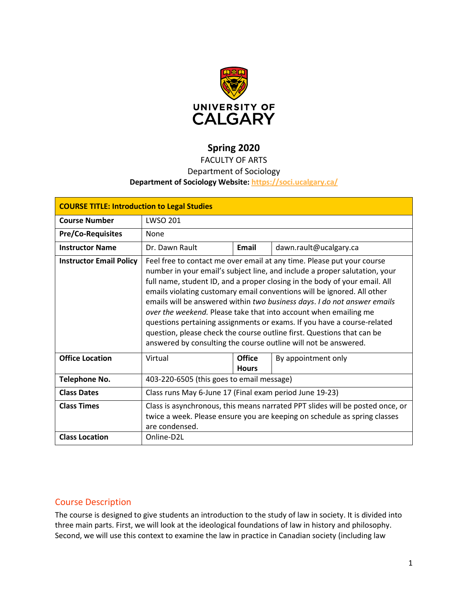

# **Spring 2020**

# FACULTY OF ARTS

# Department of Sociology

## **Department of Sociology Website:<https://soci.ucalgary.ca/>**

| <b>COURSE TITLE: Introduction to Legal Studies</b> |                                                                                                                                                                                                                                                                                                                                                                                                                                                                                                                                                                                                                                                                                       |                               |                        |  |  |
|----------------------------------------------------|---------------------------------------------------------------------------------------------------------------------------------------------------------------------------------------------------------------------------------------------------------------------------------------------------------------------------------------------------------------------------------------------------------------------------------------------------------------------------------------------------------------------------------------------------------------------------------------------------------------------------------------------------------------------------------------|-------------------------------|------------------------|--|--|
| <b>Course Number</b>                               | <b>LWSO 201</b>                                                                                                                                                                                                                                                                                                                                                                                                                                                                                                                                                                                                                                                                       |                               |                        |  |  |
| <b>Pre/Co-Requisites</b>                           | None                                                                                                                                                                                                                                                                                                                                                                                                                                                                                                                                                                                                                                                                                  |                               |                        |  |  |
| <b>Instructor Name</b>                             | Dr. Dawn Rault                                                                                                                                                                                                                                                                                                                                                                                                                                                                                                                                                                                                                                                                        | Email                         | dawn.rault@ucalgary.ca |  |  |
| <b>Instructor Email Policy</b>                     | Feel free to contact me over email at any time. Please put your course<br>number in your email's subject line, and include a proper salutation, your<br>full name, student ID, and a proper closing in the body of your email. All<br>emails violating customary email conventions will be ignored. All other<br>emails will be answered within two business days. I do not answer emails<br>over the weekend. Please take that into account when emailing me<br>questions pertaining assignments or exams. If you have a course-related<br>question, please check the course outline first. Questions that can be<br>answered by consulting the course outline will not be answered. |                               |                        |  |  |
| <b>Office Location</b>                             | Virtual                                                                                                                                                                                                                                                                                                                                                                                                                                                                                                                                                                                                                                                                               | <b>Office</b><br><b>Hours</b> | By appointment only    |  |  |
| <b>Telephone No.</b>                               | 403-220-6505 (this goes to email message)                                                                                                                                                                                                                                                                                                                                                                                                                                                                                                                                                                                                                                             |                               |                        |  |  |
| <b>Class Dates</b>                                 | Class runs May 6-June 17 (Final exam period June 19-23)                                                                                                                                                                                                                                                                                                                                                                                                                                                                                                                                                                                                                               |                               |                        |  |  |
| <b>Class Times</b>                                 | Class is asynchronous, this means narrated PPT slides will be posted once, or<br>twice a week. Please ensure you are keeping on schedule as spring classes<br>are condensed.                                                                                                                                                                                                                                                                                                                                                                                                                                                                                                          |                               |                        |  |  |
| <b>Class Location</b>                              | Online-D2L                                                                                                                                                                                                                                                                                                                                                                                                                                                                                                                                                                                                                                                                            |                               |                        |  |  |

# Course Description

The course is designed to give students an introduction to the study of law in society. It is divided into three main parts. First, we will look at the ideological foundations of law in history and philosophy. Second, we will use this context to examine the law in practice in Canadian society (including law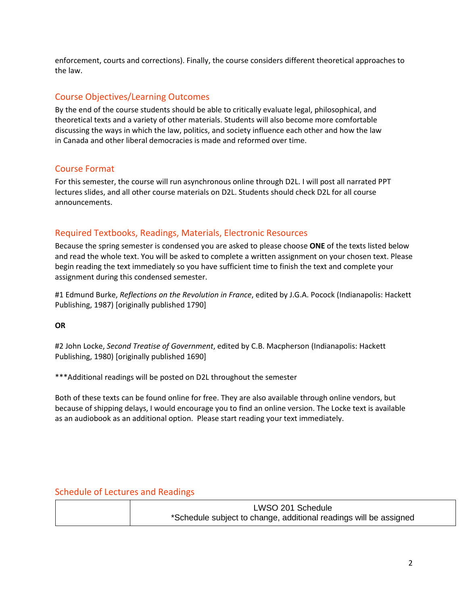enforcement, courts and corrections). Finally, the course considers different theoretical approaches to the law.

# Course Objectives/Learning Outcomes

By the end of the course students should be able to critically evaluate legal, philosophical, and theoretical texts and a variety of other materials. Students will also become more comfortable discussing the ways in which the law, politics, and society influence each other and how the law in Canada and other liberal democracies is made and reformed over time.

## Course Format

For this semester, the course will run asynchronous online through D2L. I will post all narrated PPT lectures slides, and all other course materials on D2L. Students should check D2L for all course announcements.

# Required Textbooks, Readings, Materials, Electronic Resources

Because the spring semester is condensed you are asked to please choose **ONE** of the texts listed below and read the whole text. You will be asked to complete a written assignment on your chosen text. Please begin reading the text immediately so you have sufficient time to finish the text and complete your assignment during this condensed semester.

#1 Edmund Burke, *Reflections on the Revolution in France*, edited by J.G.A. Pocock (Indianapolis: Hackett Publishing, 1987) [originally published 1790]

**OR**

#2 John Locke, *Second Treatise of Government*, edited by C.B. Macpherson (Indianapolis: Hackett Publishing, 1980) [originally published 1690]

\*\*\*Additional readings will be posted on D2L throughout the semester

Both of these texts can be found online for free. They are also available through online vendors, but because of shipping delays, I would encourage you to find an online version. The Locke text is available as an audiobook as an additional option. Please start reading your text immediately.

# Schedule of Lectures and Readings

| LWSO 201 Schedule                                                 |
|-------------------------------------------------------------------|
| *Schedule subject to change, additional readings will be assigned |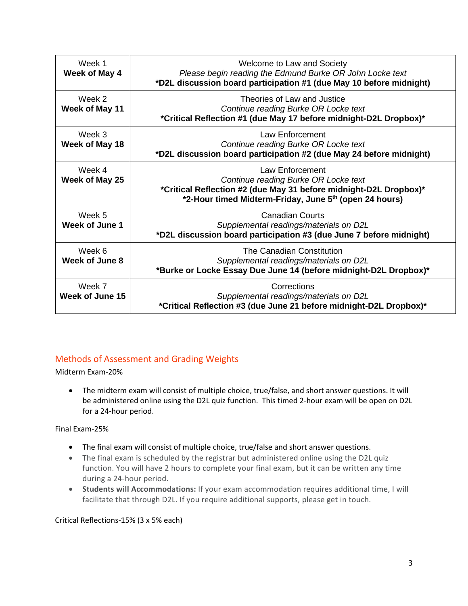| Week 1<br>Week of May 4   | Welcome to Law and Society<br>Please begin reading the Edmund Burke OR John Locke text<br>*D2L discussion board participation #1 (due May 10 before midnight)                          |
|---------------------------|----------------------------------------------------------------------------------------------------------------------------------------------------------------------------------------|
| Week 2<br>Week of May 11  | Theories of Law and Justice<br>Continue reading Burke OR Locke text<br>*Critical Reflection #1 (due May 17 before midnight-D2L Dropbox)*                                               |
| Week 3<br>Week of May 18  | Law Enforcement<br>Continue reading Burke OR Locke text<br>*D2L discussion board participation #2 (due May 24 before midnight)                                                         |
| Week 4<br>Week of May 25  | Law Enforcement<br>Continue reading Burke OR Locke text<br>*Critical Reflection #2 (due May 31 before midnight-D2L Dropbox)*<br>*2-Hour timed Midterm-Friday, June 5th (open 24 hours) |
| Week 5<br>Week of June 1  | <b>Canadian Courts</b><br>Supplemental readings/materials on D2L<br>*D2L discussion board participation #3 (due June 7 before midnight)                                                |
| Week 6<br>Week of June 8  | The Canadian Constitution<br>Supplemental readings/materials on D2L<br>*Burke or Locke Essay Due June 14 (before midnight-D2L Dropbox)*                                                |
| Week 7<br>Week of June 15 | Corrections<br>Supplemental readings/materials on D2L<br>*Critical Reflection #3 (due June 21 before midnight-D2L Dropbox)*                                                            |

# Methods of Assessment and Grading Weights

Midterm Exam-20%

• The midterm exam will consist of multiple choice, true/false, and short answer questions. It will be administered online using the D2L quiz function. This timed 2-hour exam will be open on D2L for a 24-hour period.

Final Exam-25%

- The final exam will consist of multiple choice, true/false and short answer questions.
- The final exam is scheduled by the registrar but administered online using the D2L quiz function. You will have 2 hours to complete your final exam, but it can be written any time during a 24-hour period.
- **Students will Accommodations:** If your exam accommodation requires additional time, I will facilitate that through D2L. If you require additional supports, please get in touch.

Critical Reflections-15% (3 x 5% each)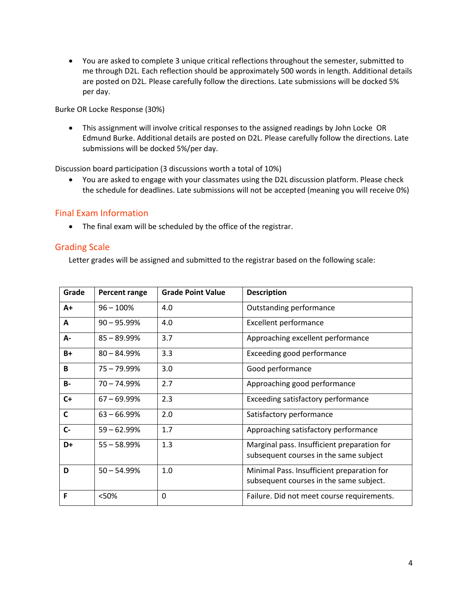• You are asked to complete 3 unique critical reflections throughout the semester, submitted to me through D2L. Each reflection should be approximately 500 words in length. Additional details are posted on D2L. Please carefully follow the directions. Late submissions will be docked 5% per day.

Burke OR Locke Response (30%)

• This assignment will involve critical responses to the assigned readings by John Locke OR Edmund Burke. Additional details are posted on D2L. Please carefully follow the directions. Late submissions will be docked 5%/per day.

Discussion board participation (3 discussions worth a total of 10%)

• You are asked to engage with your classmates using the D2L discussion platform. Please check the schedule for deadlines. Late submissions will not be accepted (meaning you will receive 0%)

## Final Exam Information

• The final exam will be scheduled by the office of the registrar.

## Grading Scale

Letter grades will be assigned and submitted to the registrar based on the following scale:

| Grade        | <b>Percent range</b> | <b>Grade Point Value</b> | <b>Description</b>                                                                    |
|--------------|----------------------|--------------------------|---------------------------------------------------------------------------------------|
| A+           | $96 - 100%$          | 4.0                      | Outstanding performance                                                               |
| Α            | $90 - 95.99%$        | 4.0                      | <b>Excellent performance</b>                                                          |
| А-           | $85 - 89.99\%$       | 3.7                      | Approaching excellent performance                                                     |
| $B+$         | $80 - 84.99%$        | 3.3                      | Exceeding good performance                                                            |
| B            | $75 - 79.99\%$       | 3.0                      | Good performance                                                                      |
| <b>B-</b>    | $70 - 74.99%$        | 2.7                      | Approaching good performance                                                          |
| $C+$         | $67 - 69.99%$        | 2.3                      | Exceeding satisfactory performance                                                    |
| $\mathsf{C}$ | $63 - 66.99%$        | 2.0                      | Satisfactory performance                                                              |
| $C -$        | $59 - 62.99%$        | 1.7                      | Approaching satisfactory performance                                                  |
| D+           | $55 - 58.99\%$       | 1.3                      | Marginal pass. Insufficient preparation for<br>subsequent courses in the same subject |
| D            | $50 - 54.99%$        | 1.0                      | Minimal Pass. Insufficient preparation for<br>subsequent courses in the same subject. |
| F            | <50%                 | 0                        | Failure. Did not meet course requirements.                                            |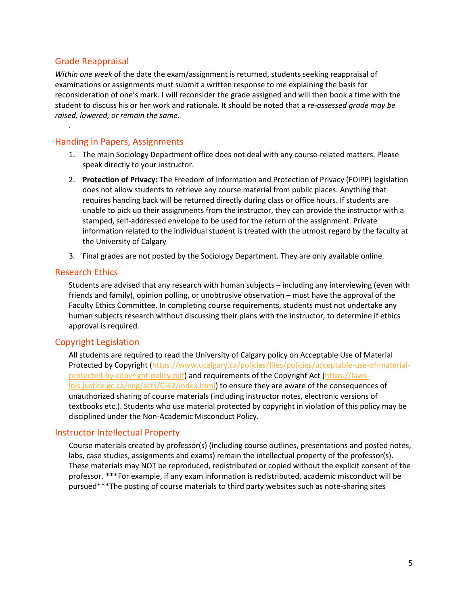## Grade Reappraisal

.

*Within one week* of the date the exam/assignment is returned, students seeking reappraisal of examinations or assignments must submit a written response to me explaining the basis for reconsideration of one's mark. I will reconsider the grade assigned and will then book a time with the student to discuss his or her work and rationale. It should be noted that a *re-assessed grade may be raised, lowered, or remain the same.*

## Handing in Papers, Assignments

- 1. The main Sociology Department office does not deal with any course-related matters. Please speak directly to your instructor.
- 2. **Protection of Privacy:** The Freedom of Information and Protection of Privacy (FOIPP) legislation does not allow students to retrieve any course material from public places. Anything that requires handing back will be returned directly during class or office hours. If students are unable to pick up their assignments from the instructor, they can provide the instructor with a stamped, self-addressed envelope to be used for the return of the assignment. Private information related to the individual student is treated with the utmost regard by the faculty at the University of Calgary
- 3. Final grades are not posted by the Sociology Department. They are only available online.

### Research Ethics

Students are advised that any research with human subjects – including any interviewing (even with friends and family), opinion polling, or unobtrusive observation – must have the approval of the Faculty Ethics Committee. In completing course requirements, students must not undertake any human subjects research without discussing their plans with the instructor, to determine if ethics approval is required.

## Copyright Legislation

All students are required to read the University of Calgary policy on Acceptable Use of Material Protected by Copyright [\(https://www.ucalgary.ca/policies/files/policies/acceptable-use-of-material](https://www.ucalgary.ca/policies/files/policies/acceptable-use-of-material-protected-by-copyright-policy.pdf)[protected-by-copyright-policy.pdf\)](https://www.ucalgary.ca/policies/files/policies/acceptable-use-of-material-protected-by-copyright-policy.pdf) and requirements of the Copyright Act [\(https://laws](https://laws-lois.justice.gc.ca/eng/acts/C-42/index.html)[lois.justice.gc.ca/eng/acts/C-42/index.html\)](https://laws-lois.justice.gc.ca/eng/acts/C-42/index.html) to ensure they are aware of the consequences of unauthorized sharing of course materials (including instructor notes, electronic versions of textbooks etc.). Students who use material protected by copyright in violation of this policy may be disciplined under the Non-Academic Misconduct Policy.

### Instructor Intellectual Property

Course materials created by professor(s) (including course outlines, presentations and posted notes, labs, case studies, assignments and exams) remain the intellectual property of the professor(s). These materials may NOT be reproduced, redistributed or copied without the explicit consent of the professor. \*\*\*For example, if any exam information is redistributed, academic misconduct will be pursued\*\*\*The posting of course materials to third party websites such as note-sharing sites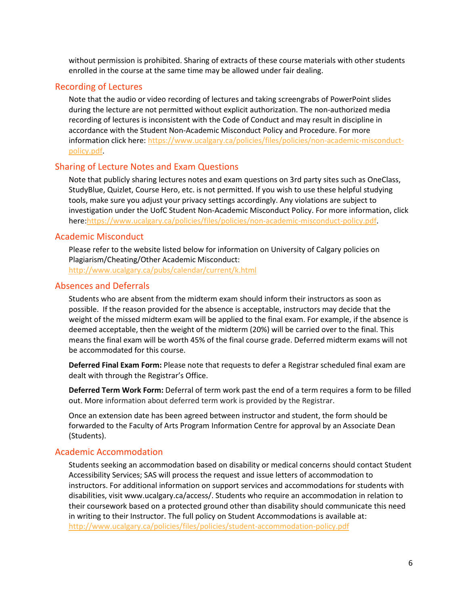without permission is prohibited. Sharing of extracts of these course materials with other students enrolled in the course at the same time may be allowed under fair dealing.

### Recording of Lectures

Note that the audio or video recording of lectures and taking screengrabs of PowerPoint slides during the lecture are not permitted without explicit authorization. The non-authorized media recording of lectures is inconsistent with the Code of Conduct and may result in discipline in accordance with the Student Non-Academic Misconduct Policy and Procedure. For more information click here: [https://www.ucalgary.ca/policies/files/policies/non-academic-misconduct](https://www.ucalgary.ca/policies/files/policies/non-academic-misconduct-policy.pdf)[policy.pdf.](https://www.ucalgary.ca/policies/files/policies/non-academic-misconduct-policy.pdf)

#### Sharing of Lecture Notes and Exam Questions

Note that publicly sharing lectures notes and exam questions on 3rd party sites such as OneClass, StudyBlue, Quizlet, Course Hero, etc. is not permitted. If you wish to use these helpful studying tools, make sure you adjust your privacy settings accordingly. Any violations are subject to investigation under the UofC Student Non-Academic Misconduct Policy. For more information, click here[:https://www.ucalgary.ca/policies/files/policies/non-academic-misconduct-policy.pdf.](https://www.ucalgary.ca/policies/files/policies/non-academic-misconduct-policy.pdf)

## Academic Misconduct

Please refer to the website listed below for information on University of Calgary policies on Plagiarism/Cheating/Other Academic Misconduct:

<http://www.ucalgary.ca/pubs/calendar/current/k.html>

## Absences and Deferrals

Students who are absent from the midterm exam should inform their instructors as soon as possible. If the reason provided for the absence is acceptable, instructors may decide that the weight of the missed midterm exam will be applied to the final exam. For example, if the absence is deemed acceptable, then the weight of the midterm (20%) will be carried over to the final. This means the final exam will be worth 45% of the final course grade. Deferred midterm exams will not be accommodated for this course.

**Deferred Final Exam Form:** Please note that requests to defer a Registrar scheduled final exam are dealt with through the Registrar's Office.

**Deferred Term Work Form:** Deferral of term work past the end of a term requires a form to be filled out. More information about deferred term work is provided by the Registrar.

Once an extension date has been agreed between instructor and student, the form should be forwarded to the Faculty of Arts Program Information Centre for approval by an Associate Dean (Students).

## Academic Accommodation

Students seeking an accommodation based on disability or medical concerns should contact Student Accessibility Services; SAS will process the request and issue letters of accommodation to instructors. For additional information on support services and accommodations for students with disabilities, visit www.ucalgary.ca/access/. Students who require an accommodation in relation to their coursework based on a protected ground other than disability should communicate this need in writing to their Instructor. The full policy on Student Accommodations is available at: <http://www.ucalgary.ca/policies/files/policies/student-accommodation-policy.pdf>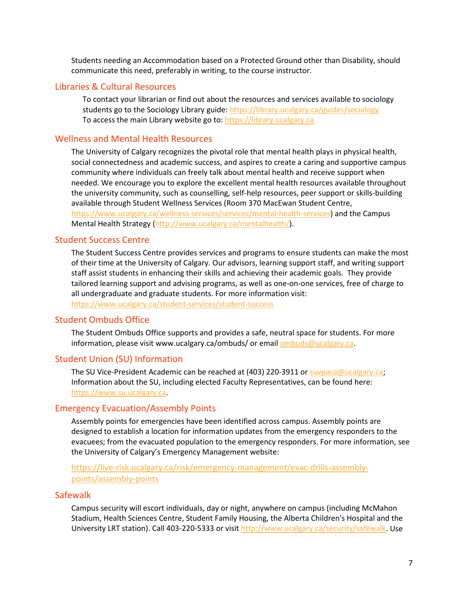Students needing an Accommodation based on a Protected Ground other than Disability, should communicate this need, preferably in writing, to the course instructor.

## Libraries & Cultural Resources

To contact your librarian or find out about the resources and services available to sociology students go to the Sociology Library guide[: https://library.ucalgary.ca/guides/sociology](https://library.ucalgary.ca/guides/sociology) To access the main Library website go to: [https://library.ucalgary.ca](https://library.ucalgary.ca/)

## Wellness and Mental Health Resources

The University of Calgary recognizes the pivotal role that mental health plays in physical health, social connectedness and academic success, and aspires to create a caring and supportive campus community where individuals can freely talk about mental health and receive support when needed. We encourage you to explore the excellent mental health resources available throughout the university community, such as counselling, self-help resources, peer support or skills-building available through Student Wellness Services (Room 370 MacEwan Student Centre, [https://www.ucalgary.ca/wellness-services/services/mental-health-services\)](https://www.ucalgary.ca/wellness-services/services/mental-health-services) and the Campus Mental Health Strategy [\(http://www.ucalgary.ca/mentalhealth/\)](http://www.ucalgary.ca/mentalhealth/).

## Student Success Centre

The Student Success Centre provides services and programs to ensure students can make the most of their time at the University of Calgary. Our advisors, learning support staff, and writing support staff assist students in enhancing their skills and achieving their academic goals. They provide tailored learning support and advising programs, as well as one-on-one services, free of charge to all undergraduate and graduate students. For more information visit: <https://www.ucalgary.ca/student-services/student-success>

## Student Ombuds Office

The Student Ombuds Office supports and provides a safe, neutral space for students. For more information, please visit www.ucalgary.ca/ombuds/ or emai[l ombuds@ucalgary.ca.](file://trifs1.uc.ucalgary.ca/SOCI/Admin/07_Course%20Outlines/ombuds@ucalgary.ca)

## Student Union (SU) Information

The SU Vice-President Academic can be reached at (403) 220-3911 or [suvpaca@ucalgary.ca;](file://trifs1.uc.ucalgary.ca/SOCI/Admin/07_Course%20Outlines/suvpaca@ucalgary.ca) Information about the SU, including elected Faculty Representatives, can be found here: [https://www.su.ucalgary.ca.](https://www.su.ucalgary.ca/)

#### Emergency Evacuation/Assembly Points

Assembly points for emergencies have been identified across campus. Assembly points are designed to establish a location for information updates from the emergency responders to the evacuees; from the evacuated population to the emergency responders. For more information, see the University of Calgary's Emergency Management website:

[https://live-risk.ucalgary.ca/risk/emergency-management/evac-drills-assembly](https://live-risk.ucalgary.ca/risk/emergency-management/evac-drills-assembly-points/assembly-points)[points/assembly-points](https://live-risk.ucalgary.ca/risk/emergency-management/evac-drills-assembly-points/assembly-points)

#### **Safewalk**

Campus security will escort individuals, day or night, anywhere on campus (including McMahon Stadium, Health Sciences Centre, Student Family Housing, the Alberta Children's Hospital and the University LRT station). Call 403-220-5333 or visit [http://www.ucalgary.ca/security/safewalk.](http://www.ucalgary.ca/security/safewalk) Use